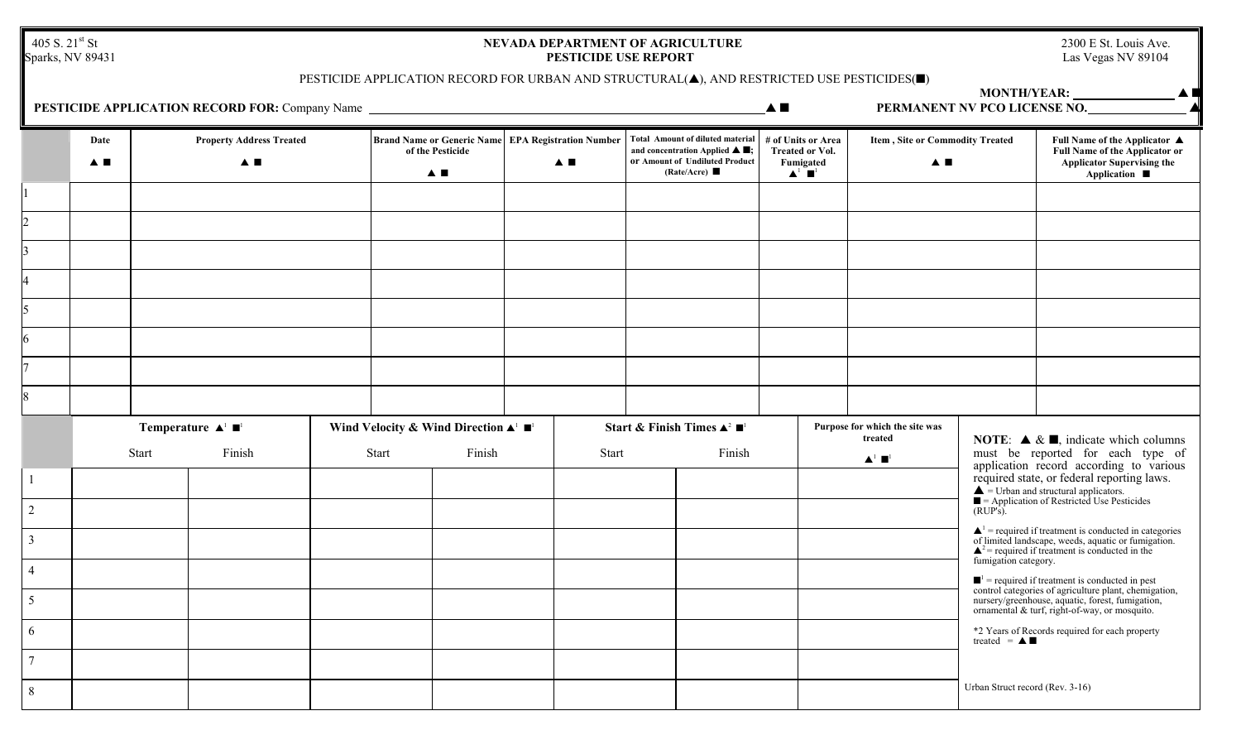405 S. 21<sup>st</sup> St<br>Sparks, NV 89431

## **NEVADA DEPARTMENT OF AGRICULTURE** 2300 E St. Louis Ave.<br>**PESTICIDE USE REPORT** Las Vegas NV 89104 PESTICIDE USE REPORT

▲■

**MONTH/YEAR:** 

## PESTICIDE APPLICATION RECORD FOR URBAN AND STRUCTURAL( $\blacktriangle$ ), AND RESTRICTED USE PESTICIDES( $\blacksquare$ )

| <b>PESTICIDE APPLICATION RECORD FOR: Company Name</b><br>PERMANENT NV PCO LICENSE NO.<br>$\blacktriangle$ $\blacksquare$ |            |                                                                    |  |  |                                                                                                        |                         |                                                          |              |                                                                                                                                                                      |  |                                                                                                  |  | $\blacktriangle$                      |                                 |                                                                                                                                                                                                                                        |  |
|--------------------------------------------------------------------------------------------------------------------------|------------|--------------------------------------------------------------------|--|--|--------------------------------------------------------------------------------------------------------|-------------------------|----------------------------------------------------------|--------------|----------------------------------------------------------------------------------------------------------------------------------------------------------------------|--|--------------------------------------------------------------------------------------------------|--|---------------------------------------|---------------------------------|----------------------------------------------------------------------------------------------------------------------------------------------------------------------------------------------------------------------------------------|--|
|                                                                                                                          | Date<br>▲■ | <b>Property Address Treated</b><br>▲■                              |  |  |                                                                                                        | of the Pesticide<br>A E | Brand Name or Generic Name EPA Registration Number<br>▲■ |              | <b>Total Amount of diluted material</b><br>and concentration Applied $\blacktriangle \blacksquare$ ;<br>or Amount of Undiluted Product<br>(Rate/Acre) $\blacksquare$ |  | # of Units or Area<br><b>Treated or Vol.</b><br>Fumigated<br>$\blacktriangle^1$ $\blacksquare^1$ |  | Item, Site or Commodity Treated<br>▲■ |                                 | Full Name of the Applicator ▲<br>Full Name of the Applicator or<br>Applicator Supervising the<br>Application ■                                                                                                                         |  |
|                                                                                                                          |            |                                                                    |  |  |                                                                                                        |                         |                                                          |              |                                                                                                                                                                      |  |                                                                                                  |  |                                       |                                 |                                                                                                                                                                                                                                        |  |
|                                                                                                                          |            |                                                                    |  |  |                                                                                                        |                         |                                                          |              |                                                                                                                                                                      |  |                                                                                                  |  |                                       |                                 |                                                                                                                                                                                                                                        |  |
|                                                                                                                          |            |                                                                    |  |  |                                                                                                        |                         |                                                          |              |                                                                                                                                                                      |  |                                                                                                  |  |                                       |                                 |                                                                                                                                                                                                                                        |  |
|                                                                                                                          |            |                                                                    |  |  |                                                                                                        |                         |                                                          |              |                                                                                                                                                                      |  |                                                                                                  |  |                                       |                                 |                                                                                                                                                                                                                                        |  |
|                                                                                                                          |            |                                                                    |  |  |                                                                                                        |                         |                                                          |              |                                                                                                                                                                      |  |                                                                                                  |  |                                       |                                 |                                                                                                                                                                                                                                        |  |
| 6                                                                                                                        |            |                                                                    |  |  |                                                                                                        |                         |                                                          |              |                                                                                                                                                                      |  |                                                                                                  |  |                                       |                                 |                                                                                                                                                                                                                                        |  |
|                                                                                                                          |            |                                                                    |  |  |                                                                                                        |                         |                                                          |              |                                                                                                                                                                      |  |                                                                                                  |  |                                       |                                 |                                                                                                                                                                                                                                        |  |
| 8                                                                                                                        |            |                                                                    |  |  |                                                                                                        |                         |                                                          |              |                                                                                                                                                                      |  |                                                                                                  |  |                                       |                                 |                                                                                                                                                                                                                                        |  |
|                                                                                                                          |            | Temperature $\blacktriangle^1$ $\blacksquare^1$<br>Start<br>Finish |  |  | Wind Velocity & Wind Direction $\blacktriangle^{\perp} \blacksquare^{\perp}$<br>Finish<br><b>Start</b> |                         |                                                          | <b>Start</b> | Start & Finish Times $\blacktriangle^2 \blacksquare$ <sup>1</sup><br>Finish                                                                                          |  | treated<br>$\blacktriangle^1$ $\blacksquare^1$                                                   |  | Purpose for which the site was        |                                 | <b>NOTE:</b> $\triangle \& \square$ , indicate which columns<br>must be reported for each type of                                                                                                                                      |  |
| $\vert$ 1                                                                                                                |            |                                                                    |  |  |                                                                                                        |                         |                                                          |              |                                                                                                                                                                      |  |                                                                                                  |  |                                       |                                 | application record according to various<br>required state, or federal reporting laws.<br>$\triangle$ = Urban and structural applicators.<br>$\blacksquare$ = Application of Restricted Use Pesticides                                  |  |
| $\overline{2}$                                                                                                           |            |                                                                    |  |  |                                                                                                        |                         |                                                          |              |                                                                                                                                                                      |  |                                                                                                  |  |                                       | $(RUP's)$ .                     |                                                                                                                                                                                                                                        |  |
| $\overline{3}$                                                                                                           |            |                                                                    |  |  |                                                                                                        |                         |                                                          |              |                                                                                                                                                                      |  |                                                                                                  |  |                                       |                                 | $\blacktriangle$ <sup>1</sup> = required if treatment is conducted in categories<br>of limited landscape, weeds, aquatic or fumigation.<br>$\triangle^2$ = required if treatment is conducted in the                                   |  |
| $\overline{4}$                                                                                                           |            |                                                                    |  |  |                                                                                                        |                         |                                                          |              |                                                                                                                                                                      |  |                                                                                                  |  |                                       | fumigation category.            |                                                                                                                                                                                                                                        |  |
| $5\overline{)}$                                                                                                          |            |                                                                    |  |  |                                                                                                        |                         |                                                          |              |                                                                                                                                                                      |  |                                                                                                  |  |                                       |                                 | $\blacksquare$ <sup>1</sup> = required if treatment is conducted in pest<br>control categories of agriculture plant, chemigation,<br>nursery/greenhouse, aquatic, forest, fumigation,<br>ornamental & turf, right-of-way, or mosquito. |  |
| 6                                                                                                                        |            |                                                                    |  |  |                                                                                                        |                         |                                                          |              |                                                                                                                                                                      |  |                                                                                                  |  |                                       | treated = $\triangle$           | *2 Years of Records required for each property                                                                                                                                                                                         |  |
| $\overline{7}$                                                                                                           |            |                                                                    |  |  |                                                                                                        |                         |                                                          |              |                                                                                                                                                                      |  |                                                                                                  |  |                                       |                                 |                                                                                                                                                                                                                                        |  |
| 8                                                                                                                        |            |                                                                    |  |  |                                                                                                        |                         |                                                          |              |                                                                                                                                                                      |  |                                                                                                  |  |                                       | Urban Struct record (Rev. 3-16) |                                                                                                                                                                                                                                        |  |